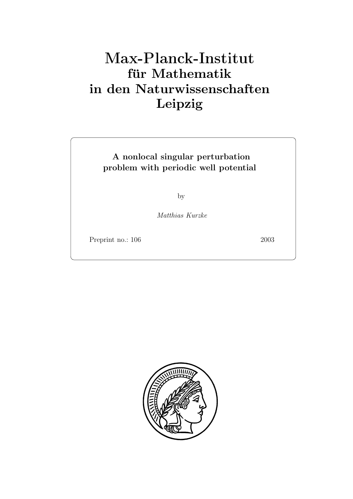# **für Mathematik in den Naturwissenschaften Leipzig**

# **A nonlocal singular perturbation problem with periodic well potential**

by

*Matthias Kurzke*

Preprint no.: 106 2003

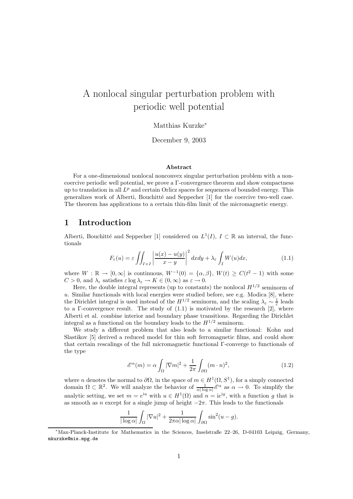# A nonlocal singular perturbation problem with periodic well potential

Matthias Kurzke<sup>∗</sup>

December 9, 2003

#### **Abstract**

For a one-dimensional nonlocal nonconvex singular perturbation problem with a noncoercive periodic well potential, we prove a Γ-convergence theorem and show compactness up to translation in all  $L^p$  and certain Orlicz spaces for sequences of bounded energy. This generalizes work of Alberti, Bouchitté and Seppecher [1] for the coercive two-well case. The theorem has applications to a certain thin-film limit of the micromagnetic energy.

# **1 Introduction**

Alberti, Bouchitté and Seppecher [1] considered on  $L^1(I)$ ,  $I \subset \mathbb{R}$  an interval, the functionals

$$
F_{\varepsilon}(u) = \varepsilon \iint_{I \times I} \left| \frac{u(x) - u(y)}{x - y} \right|^2 dx dy + \lambda_{\varepsilon} \int_{I} W(u) dx, \tag{1.1}
$$

where  $W : \mathbb{R} \to [0, \infty]$  is continuous,  $W^{-1}(0) = {\alpha, \beta}$ ,  $W(t) \ge C(t^2 - 1)$  with some  $C > 0$ , and  $\lambda_{\varepsilon}$  satisfies  $\varepsilon \log \lambda_{\varepsilon} \to K \in (0, \infty)$  as  $\varepsilon \to 0$ .

Here, the double integral represents (up to constants) the nonlocal  $H^{1/2}$  seminorm of u. Similar functionals with local energies were studied before, see e.g. Modica  $[8]$ , where the Dirichlet integral is used instead of the  $H^{1/2}$  seminorm, and the scaling  $\lambda_{\varepsilon} \sim \frac{1}{\varepsilon}$  leads to a Γ-convergence result. The study of  $(1.1)$  is motivated by the research  $[2]$ , where Alberti et al. combine interior and boundary phase transitions. Regarding the Dirichlet integral as a functional on the boundary leads to the  $H^{1/2}$  seminorm.

We study a different problem that also leads to a similar functional: Kohn and Slastikov [5] derived a reduced model for thin soft ferromagnetic films, and could show that certain rescalings of the full micromagnetic functional Γ-converge to functionals of the type

$$
\mathcal{E}^{\alpha}(m) = \alpha \int_{\Omega} |\nabla m|^2 + \frac{1}{2\pi} \int_{\partial \Omega} (m \cdot n)^2,
$$
 (1.2)

where *n* denotes the normal to  $\partial\Omega$ , in the space of  $m \in H^1(\Omega, S^1)$ , for a simply connected domain  $\Omega \subset \mathbb{R}^2$ . We will analyze the behavior of  $\frac{1}{\alpha |\log \alpha|} \mathscr{E}^{\alpha}$  as  $\alpha \to 0$ . To simplify the analytic setting, we set  $m = e^{iu}$  with  $u \in H^1(\Omega)$  and  $n = ie^{ig}$ , with a function g that is as smooth as n except for a single jump of height  $-2\pi$ . This leads to the functionals

$$
\frac{1}{|\log \alpha|} \int_{\Omega} |\nabla u|^2 + \frac{1}{2\pi \alpha |\log \alpha|} \int_{\partial \Omega} \sin^2(u - g).
$$

<sup>∗</sup>Max-Planck-Institute for Mathematics in the Sciences, Inselstraße 22–26, D-04103 Leipzig, Germany, mkurzke@mis.mpg.de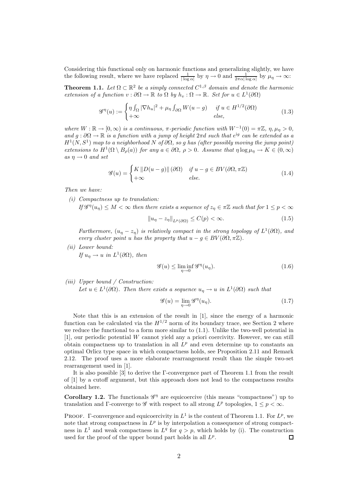Considering this functional only on harmonic functions and generalizing slightly, we have the following result, where we have replaced  $\frac{1}{|\log \alpha|}$  by  $\eta \to 0$  and  $\frac{1}{2\pi \alpha |\log \alpha|}$  by  $\mu_{\eta} \to \infty$ :

**Theorem 1.1.** *Let*  $\Omega \subset \mathbb{R}^2$  *be a simply connected*  $C^{1,\beta}$  *domain and denote the harmonic extension of a function*  $v : \partial\Omega \to \mathbb{R}$  *to*  $\Omega$  *by*  $h_v : \Omega \to \mathbb{R}$ *. Set for*  $u \in L^1(\partial\Omega)$ 

$$
\mathscr{G}^{\eta}(u) := \begin{cases} \eta \int_{\Omega} |\nabla h_u|^2 + \mu_{\eta} \int_{\partial \Omega} W(u - g) & \text{if } u \in H^{1/2}(\partial \Omega) \\ +\infty & \text{else,} \end{cases}
$$
(1.3)

*where*  $W : \mathbb{R} \to [0, \infty)$  *is a continuous,*  $\pi$ -periodic function with  $W^{-1}(0) = \pi \mathbb{Z}$ ,  $\eta, \mu_{\eta} > 0$ , *and*  $g : \partial\Omega \to \mathbb{R}$  *is a function with a jump of height*  $2\pi d$  *such that*  $e^{ig}$  *can be extended as a*  $H^1(N, S^1)$  *map to a neighborhood* N *of*  $\partial\Omega$ *, so g has (after possibly moving the jump point) extensions to*  $H^1(\Omega \setminus B_\rho(a))$  *for any*  $a \in \partial \Omega$ *,*  $\rho > 0$ *. Assume that*  $\eta \log \mu_\eta \to K \in (0, \infty)$  $as \eta \rightarrow 0 \text{ and set}$ 

$$
\mathcal{G}(u) = \begin{cases} K \left\| D(u-g) \right\| (\partial \Omega) & \text{if } u - g \in BV(\partial \Omega, \pi \mathbb{Z}) \\ +\infty & \text{else.} \end{cases}
$$
(1.4)

*Then we have:*

*(i) Compactness up to translation:*

*If*  $\mathscr{G}^{\eta}(u_n) \leq M < \infty$  *then there exists a sequence of*  $z_n \in \pi \mathbb{Z}$  *such that for*  $1 \leq p < \infty$ 

$$
||u_{\eta} - z_{\eta}||_{L^{p}(\partial \Omega)} \le C(p) < \infty. \tag{1.5}
$$

*Furthermore,*  $(u_{\eta} - z_{\eta})$  *is relatively compact in the strong topology of*  $L^1(\partial\Omega)$ *, and every cluster point* u *has the property that*  $u - q \in BV(\partial\Omega, \pi\mathbb{Z})$ .

*(ii) Lower bound: If*  $u_n \to u$  *in*  $L^1(\partial\Omega)$ *, then* 

$$
\mathcal{G}(u) \le \liminf_{\eta \to 0} \mathcal{G}^{\eta}(u_{\eta}). \tag{1.6}
$$

*(iii) Upper bound / Construction:*

Let  $u \in L^1(\partial\Omega)$ *. Then there exists a sequence*  $u_\eta \to u$  *in*  $L^1(\partial\Omega)$  *such that* 

$$
\mathscr{G}(u) = \lim_{\eta \to 0} \mathscr{G}^{\eta}(u_{\eta}). \tag{1.7}
$$

Note that this is an extension of the result in [1], since the energy of a harmonic function can be calculated via the  $H^{1/2}$  norm of its boundary trace, see Section 2 where we reduce the functional to a form more similar to (1.1). Unlike the two-well potential in [1], our periodic potential W cannot yield any a priori coercivity. However, we can still obtain compactness up to translation in all  $L^p$  and even determine up to constants an optimal Orlicz type space in which compactness holds, see Proposition 2.11 and Remark 2.12. The proof uses a more elaborate rearrangement result than the simple two-set rearrangement used in [1].

It is also possible [3] to derive the Γ-convergence part of Theorem 1.1 from the result of [1] by a cutoff argument, but this approach does not lead to the compactness results obtained here.

**Corollary 1.2.** The functionals  $\mathscr{G}^{\eta}$  are equicoercive (this means "compactness") up to translation and Γ-converge to *G* with respect to all strong  $L^p$  topologies,  $1 \leq p < \infty$ .

PROOF.  $\Gamma$ -convergence and equicoercivity in  $L^1$  is the content of Theorem 1.1. For  $L^p$ , we note that strong compactness in  $L^p$  is by interpolation a consequence of strong compactness in  $L^1$  and weak compactness in  $L^q$  for  $q>p$ , which holds by (i). The construction used for the proof of the upper bound part holds in all  $L^p$ .  $\Box$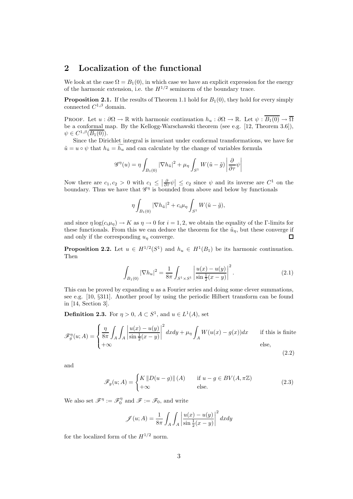# **2 Localization of the functional**

We look at the case  $\Omega = B_1(0)$ , in which case we have an explicit expression for the energy of the harmonic extension, i.e. the  $H^{1/2}$  seminorm of the boundary trace.

**Proposition 2.1.** If the results of Theorem 1.1 hold for  $B_1(0)$ , they hold for every simply connected  $C^{1,\beta}$  domain.

PROOF. Let  $u : \partial\Omega \to \mathbb{R}$  with harmonic continuation  $h_u : \partial\Omega \to \mathbb{R}$ . Let  $\psi : \overline{B_1(0)} \to \overline{\Omega}$ be a conformal map. By the Kellogg-Warschawski theorem (see e.g. [12, Theorem 3.6]),  $\psi \in C^{1,\beta}(\overline{B_1(0)}).$ 

Since the Dirichlet integral is invariant under conformal transformations, we have for  $\tilde{u} = u \circ \psi$  that  $h_{\tilde{u}} = h_u$  and can calculate by the change of variables formula

$$
\mathscr{G}^{\eta}(u) = \eta \int_{B_1(0)} |\nabla h_{\tilde{u}}|^2 + \mu_{\eta} \int_{S^1} W(\tilde{u} - \tilde{g}) \left| \frac{\partial}{\partial \tau} \psi \right|
$$

Now there are  $c_1, c_2 > 0$  with  $c_1 \leq \left| \frac{\partial}{\partial \tau} \psi \right| \leq c_2$  since  $\psi$  and its inverse are  $C^1$  on the boundary. Thus we have that  $\mathscr{G}^{\eta}$  is bounded from above and below by functionals

$$
\eta \int_{B_1(0)} |\nabla h_{\tilde u}|^2 + c_i \mu_\eta \int_{S^1} W(\tilde u - \tilde g),
$$

and since  $\eta \log(c_i \mu_{\eta}) \to K$  as  $\eta \to 0$  for  $i = 1, 2$ , we obtain the equality of the Γ-limits for these functionals. From this we can deduce the theorem for the  $\tilde{u}_n$ , but these converge if and only if the corresponding  $u_{\eta}$  converge.  $\Box$ 

**Proposition 2.2.** Let  $u \in H^{1/2}(S^1)$  and  $h_u \in H^1(B_1)$  be its harmonic continuation. Then

$$
\int_{B_1(0)} |\nabla h_u|^2 = \frac{1}{8\pi} \int_{S^1 \times S^1} \left| \frac{u(x) - u(y)}{\sin \frac{1}{2}(x - y)} \right|^2.
$$
\n(2.1)

This can be proved by expanding  $u$  as a Fourier series and doing some clever summations, see e.g. [10, §311]. Another proof by using the periodic Hilbert transform can be found in [14, Section 3].

**Definition 2.3.** For  $\eta > 0$ ,  $A \subset S^1$ , and  $u \in L^1(A)$ , set

$$
\mathscr{F}_{g}^{\eta}(u;A) = \begin{cases} \frac{\eta}{8\pi} \int_{A} \int_{A} \left| \frac{u(x) - u(y)}{\sin\frac{1}{2}(x - y)} \right|^{2} dx dy + \mu_{\eta} \int_{A} W(u(x) - g(x)) dx & \text{if this is finite} \\ +\infty & \text{else,} \end{cases}
$$
 (2.2)

and

$$
\mathscr{F}_g(u;A) = \begin{cases} K \left\| D(u-g) \right\| (A) & \text{if } u - g \in BV(A, \pi \mathbb{Z}) \\ +\infty & \text{else.} \end{cases}
$$
 (2.3)

We also set  $\mathscr{F}^{\eta} := \mathscr{F}_0^{\eta}$  and  $\mathscr{F} := \mathscr{F}_0$ , and write

$$
\mathscr{J}(u;A) = \frac{1}{8\pi} \int_A \int_A \left| \frac{u(x) - u(y)}{\sin \frac{1}{2}(x - y)} \right|^2 dx dy
$$

for the localized form of the  $H^{1/2}$  norm.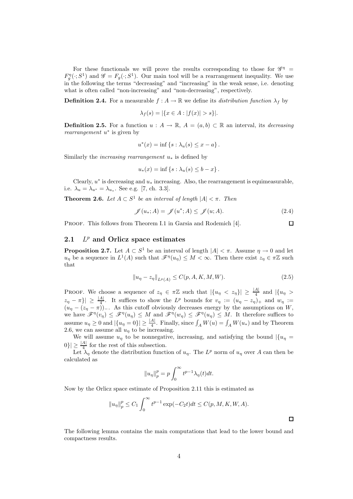For these functionals we will prove the results corresponding to those for  $\mathscr{G}^\eta$  =  $F_g^{\eta}(\cdot; S^1)$  and  $\mathscr{G} = F_g(\cdot; S^1)$ . Our main tool will be a rearrangement inequality. We use in the following the terms "decreasing" and "increasing" in the weak sense, i.e. denoting what is often called "non-increasing" and "non-decreasing", respectively.

**Definition 2.4.** For a measurable  $f : A \to \mathbb{R}$  we define its *distribution function*  $\lambda_f$  by

$$
\lambda_f(s) = |\{x \in A : |f(x)| > s\}|.
$$

**Definition 2.5.** For a function  $u : A \to \mathbb{R}$ ,  $A = (a, b) \subset \mathbb{R}$  an interval, its *decreasing rearrangement* u<sup>∗</sup> is given by

$$
u^*(x) = \inf \{ s : \lambda_u(s) \le x - a \} .
$$

Similarly the *increasing rearrangement* u<sup>∗</sup> is defined by

$$
u_*(x) = \inf \{ s : \lambda_u(s) \leq b - x \} .
$$

Clearly,  $u^*$  is decreasing and  $u_*$  increasing. Also, the rearrangement is equimeasurable, i.e.  $\lambda_u = \lambda_{u^*} = \lambda_{u_*}$ . See e.g. [7, ch. 3.3].

**Theorem 2.6.** *Let*  $A \subset S^1$  *be an interval of length*  $|A| < \pi$ *. Then* 

$$
\mathscr{J}(u_*,A) = \mathscr{J}(u^*;A) \leq \mathscr{J}(u;A). \tag{2.4}
$$

PROOF. This follows from Theorem I.1 in Garsia and Rodemich [4].

#### **2.1** *L<sup>p</sup>* **and Orlicz space estimates**

**Proposition 2.7.** Let  $A \subset S^1$  be an interval of length  $|A| < \pi$ . Assume  $\eta \to 0$  and let  $u_n$  be a sequence in  $L^1(A)$  such that  $\mathscr{F}^{\eta}(u_n) \leq M < \infty$ . Then there exist  $z_n \in \pi \mathbb{Z}$  such that

$$
||u_{\eta} - z_{\eta}||_{L^{p}(A)} \leq C(p, A, K, M, W).
$$
\n(2.5)

**PROOF.** We choose a sequence of  $z_\eta \in \pi \mathbb{Z}$  such that  $|\{u_\eta \leq z_\eta\}| \geq \frac{|A|}{4}$  and  $|\{u_\eta >$ PROOF. We choose a sequence of  $z_{\eta} \in \pi \mathbb{Z}$  such that  $|\{u_{\eta} < z_{\eta}\}| \geq \frac{|\mathcal{A}|}{4}$  and  $|\{u_{\eta} > z_{\eta} - \pi\}| \geq \frac{|\mathcal{A}|}{4}$ . It suffices to show the  $L^p$  bounds for  $v_{\eta} := (u_{\eta} - z_{\eta})_+$  and  $w_{\eta} := (u_{\eta} - (z_{\eta}$ we have  $\mathscr{F}^{\eta}(v_{\eta}) \leq \mathscr{F}^{\eta}(u_{\eta}) \leq M$  and  $\mathscr{F}^{\eta}(w_{\eta}) \leq \mathscr{F}^{\eta}(u_{\eta}) \leq M$ . It therefore suffices to assume  $u_{\eta} \ge 0$  and  $|\{u_{\eta} = 0\}| \ge \frac{|A|}{4}$ . Finally, since  $\int_A W(u) = \int_A W(u_*)$  and by Theorem 2.6, we can assume all  $u_+$  to be increasing 2.6, we can assume all  $u<sub>\eta</sub>$  to be increasing.

We will assume  $u_{\eta}$  to be nonnegative, increasing, and satisfying the bound  $|\{u_{\eta} =$  $|0\rangle \geq \frac{|A|}{4}$  for the rest of this subsection.<br>Let  $\lambda$ , denote the distribution funct.

Let  $\lambda_{\eta}$  denote the distribution function of  $u_{\eta}$ . The  $L^p$  norm of  $u_{\eta}$  over A can then be calculated as

$$
||u_{\eta}||_{p}^{p} = p \int_{0}^{\infty} t^{p-1} \lambda_{\eta}(t) dt.
$$

Now by the Orlicz space estimate of Proposition 2.11 this is estimated as

$$
||u_{\eta}||_{p}^{p} \leq C_{1} \int_{0}^{\infty} t^{p-1} \exp(-C_{2}t) dt \leq C(p, M, K, W, A).
$$

The following lemma contains the main computations that lead to the lower bound and compactness results.

 $\Box$ 

 $\Box$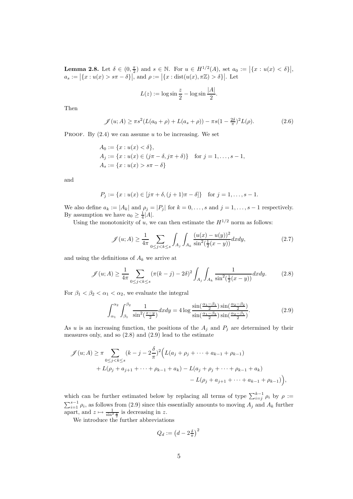**Lemma 2.8.** Let  $\delta \in (0, \frac{\pi}{2})$  and  $s \in \mathbb{N}$ . For  $u \in H^{1/2}(A)$ , set  $a_0 := |\{x : u(x) < \delta\}|$ ,<br>  $a := |f_x : u(x) > \epsilon \pi - \delta \}|$  and  $a := |f_x : \text{dist}(u(x), \pi \mathbb{Z}) > \delta \}|$ . Let  $a_s := |\{x : u(x) > s\pi - \delta\}|$ , and  $\rho := |\{x : \text{dist}(u(x), \pi \mathbb{Z}) > \delta\}|$ . Let

$$
L(z) := \log \sin \frac{z}{2} - \log \sin \frac{|A|}{2}.
$$

Then

$$
\mathscr{J}(u;A) \ge \pi s^2 (L(a_0 + \rho) + L(a_s + \rho)) - \pi s (1 - \frac{2\delta}{\pi})^2 L(\rho).
$$
 (2.6)

PROOF. By  $(2.4)$  we can assume u to be increasing. We set

$$
A_0 := \{x : u(x) < \delta\},
$$
\n
$$
A_j := \{x : u(x) \in (j\pi - \delta, j\pi + \delta)\} \quad \text{for } j = 1, \dots, s - 1,
$$
\n
$$
A_s := \{x : u(x) > s\pi - \delta\}
$$

and

$$
P_j := \{x : u(x) \in [j\pi + \delta, (j+1)\pi - \delta]\} \text{ for } j = 1, ..., s - 1.
$$

We also define  $a_k := |A_k|$  and  $\rho_j = |P_j|$  for  $k = 0, \ldots, s$  and  $j = 1, \ldots, s-1$  respectively. By assumption we have  $a_0 \geq \frac{1}{4} |A|$ .<br>Using the monotonicity of  $\mu$ , we

Using the monotonicity of  $u$ , we can then estimate the  $H^{1/2}$  norm as follows:

$$
\mathscr{J}(u;A) \ge \frac{1}{4\pi} \sum_{0 \le j < k \le s} \int_{A_j} \int_{A_k} \frac{(u(x) - u(y))^2}{\sin^2(\frac{1}{2}(x - y))} dx dy,\tag{2.7}
$$

and using the definitions of  $A_k$  we arrive at

$$
\mathscr{J}(u;A) \ge \frac{1}{4\pi} \sum_{0 \le j < k \le s} (\pi(k-j) - 2\delta)^2 \int_{A_j} \int_{A_k} \frac{1}{\sin^2(\frac{1}{2}(x-y))} dx dy. \tag{2.8}
$$

For  $\beta_1 < \beta_2 < \alpha_1 < \alpha_2$ , we evaluate the integral

$$
\int_{\alpha_1}^{\alpha_2} \int_{\beta_1}^{\beta_2} \frac{1}{\sin^2(\frac{x-y}{2})} dx dy = 4 \log \frac{\sin(\frac{\alpha_1 - \beta_1}{2}) \sin(\frac{\alpha_2 - \beta_2}{2})}{\sin(\frac{\alpha_1 - \beta_2}{2}) \sin(\frac{\alpha_2 - \beta_1}{2})}.
$$
(2.9)

As u is an increasing function, the positions of the  $A_j$  and  $P_j$  are determined by their measures only, and so (2.8) and (2.9) lead to the estimate

$$
\mathscr{J}(u;A) \geq \pi \sum_{0 \leq j < k \leq s} (k-j-2\frac{\delta}{\pi})^2 \Big( L(a_j + \rho_j + \dots + a_{k-1} + \rho_{k-1}) + L(\rho_j + a_{j+1} + \dots + \rho_{k-1} + a_k) - L(a_j + \rho_j + \dots + \rho_{k-1} + a_k) - L(\rho_j + a_{j+1} + \dots + a_{k-1} + \rho_{k-1}) \Big),
$$

which can be further estimated below by replacing all terms of type  $\sum_{i=j}^{k-1} \rho_i$  by  $\rho :=$ which can be further estimated below by replacing all terms of type  $\sum_{i=j}^{k-1} \rho_i$  by  $\rho := \sum_{i=1}^{s-1} \rho_i$ , as follows from (2.9) since this essentially amounts to moving  $A_i$  and  $A_k$  further  $\sum_{i=1}^{s-1} \rho_i$ , as follows from (2.9) since this essentially amounts to moving  $A_j$  and  $A_k$  further apart, and  $z \mapsto \frac{1}{\sin^2 \frac{z}{z}}$  is decreasing in z.

We introduce the further abbreviations

$$
Q_d := \left(d - 2\frac{\delta}{\pi}\right)^2
$$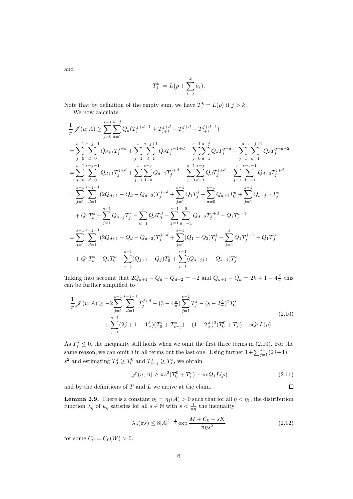and

$$
T_j^k := L(\rho + \sum_{i=j}^k a_i)
$$

.

Note that by definition of the empty sum, we have  $T_j^k = L(\rho)$  if  $j > k$ . We now calculate

$$
\frac{1}{\pi} \mathscr{J}(u; A) \geq \sum_{j=0}^{s-1} \sum_{d=1}^{s-j} Q_d (T_j^{j+d-1} + T_j^{j+d} - T_j^{j+d} - T_{j+1}^{j+d-1})
$$
\n
$$
= \sum_{j=0}^{s-1} \sum_{d=0}^{s-j-1} Q_{d+1} T_j^{j+d} + \sum_{j=1}^{s} \sum_{d=1}^{s-j+1} Q_d T_j^{j-1+d} - \sum_{j=0}^{s-1} \sum_{d=1}^{s-j} Q_d T_j^{j+d} - \sum_{j=1}^{s} \sum_{d=1}^{s-j+1} Q_d T_j^{j+d-2}
$$
\n
$$
= \sum_{j=0}^{s-1} \sum_{d=0}^{s-j-1} Q_{d+1} T_j^{j+d} + \sum_{j=1}^{s} \sum_{d=0}^{s-j} Q_{d+1} T_j^{j+d} - \sum_{j=0}^{s-1} \sum_{d=1}^{s-j} Q_d T_j^{j+d} - \sum_{j=1}^{s} \sum_{d=-1}^{s-j-1} Q_{d+2} T_j^{j+d}
$$
\n
$$
= \sum_{j=1}^{s-1} \sum_{d=1}^{s-j-1} (2Q_{d+1} - Q_d - Q_{d+2}) T_j^{j+d} + \sum_{j=1}^{s-1} Q_1 T_j^{j} + \sum_{d=0}^{s-1} Q_{d+1} T_d^{d} + \sum_{j=1}^{s-1} Q_{s-j+1} T_j^{s}
$$
\n
$$
+ Q_1 T_s^{s} - \sum_{j=1}^{s-1} Q_{s-j} T_j^{s} - \sum_{d=1}^{s} Q_d T_d^{d} - \sum_{j=1}^{s} \sum_{d=-1}^{0} Q_{d+2} T_j^{j+d} - Q_1 T_s^{s-1}
$$
\n
$$
= \sum_{j=1}^{s-1} \sum_{d=1}^{s-j-1} (2Q_{d+1} - Q_d - Q_{d+2}) T_j^{j+d} + \sum_{j=1}^{s-1} (Q_1 - Q_2) T_j^{j} - \sum_{j=1}^{s} Q_1 T_j^{j-1} + Q_1 T_0^{0}
$$
\n
$$
+ Q_1 T_s^{s} - Q_s T_0^{s} + \sum_{j
$$

Taking into account that  $2Q_{d+1} - Q_d - Q_{d+2} = -2$  and  $Q_{k+1} - Q_k = 2k + 1 - 4\frac{\delta}{\pi}$  this can be further simplified to

$$
\frac{1}{\pi} \mathcal{J}(u; A) \ge -2 \sum_{j=1}^{s-1} \sum_{d=1}^{s-j-1} T_j^{j+d} - (3 - 4\frac{\delta}{\pi}) \sum_{j=1}^{s-1} T_j^j - (s - 2\frac{\delta}{\pi})^2 T_0^s
$$
\n
$$
+ \sum_{j=1}^{s-1} (2j+1-4\frac{\delta}{\pi}) (T_0^j + T_{s-j}^s) + (1 - 2\frac{\delta}{\pi})^2 (T_0^0 + T_s^s) - sQ_1 L(\rho).
$$
\n(2.10)

As  $T_j^k \leq 0$ , the inequality still holds when we omit the first three terms in (2.10). For the same reason, we can omit  $\delta$  in all terms but the last one. Using further  $1 + \sum_{j=1}^{s-1} (2j+1) =$  $s^2$  and estimating  $T_0^j \ge T_0^0$  and  $T_{s-j}^s \ge T_s^s$ , we obtain

$$
\mathcal{J}(u;A) \ge \pi s^2 (T_0^0 + T_s^s) - \pi s Q_1 L(\rho)
$$
\n(2.11)

 $\Box$ 

and by the definitions of  $T$  and  $L$  we arrive at the claim.

**Lemma 2.9.** There is a constant  $\eta_1 = \eta_1(A) > 0$  such that for all  $\eta < \eta_1$ , the distribution function  $\lambda_{\eta}$  of  $u_{\eta}$  satisfies for all  $s \in \mathbb{N}$  with  $s < \frac{1}{\pi \eta}$  the inequality

$$
\lambda_{\eta}(\pi s) \le 8|A|^{1-\frac{1}{s}} \exp \frac{M + C_0 - sK}{\pi \eta s^2}
$$
 (2.12)

for some  $C_0 = C_0(W) > 0$ .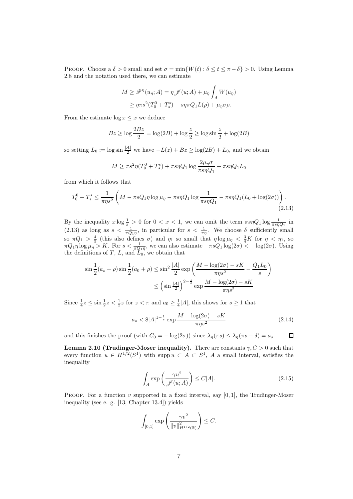PROOF. Choose a  $\delta > 0$  small and set  $\sigma = \min\{W(t) : \delta \le t \le \pi - \delta\} > 0$ . Using Lemma 2.8 and the notation used there, we can estimate

$$
M \ge \mathcal{F}^{\eta}(u_{\eta}; A) = \eta \mathcal{J}(u; A) + \mu_{\eta} \int_{A} W(u_{\eta})
$$

$$
\ge \eta \pi s^{2} (T_{0}^{0} + T_{s}^{s}) - s \eta \pi Q_{1} L(\rho) + \mu_{\eta} \sigma \rho.
$$

From the estimate  $\log x \leq x$  we deduce

$$
Bz \ge \log \frac{2Bz}{2} = \log(2B) + \log \frac{z}{2} \ge \log \sin \frac{z}{2} + \log(2B)
$$

so setting  $L_0 := \log \sin \frac{|A|}{2}$  we have  $-L(z) + Bz \ge \log(2B) + L_0$ , and we obtain

$$
M \ge \pi s^2 \eta (T_0^0 + T_s^s) + \pi s \eta Q_1 \log \frac{2\mu_\eta \sigma}{\pi s \eta Q_1} + \pi s \eta Q_1 L_0
$$

from which it follows that

$$
T_0^0 + T_s^s \le \frac{1}{\pi \eta s^2} \left( M - \pi s Q_1 \eta \log \mu_\eta - \pi s \eta Q_1 \log \frac{1}{\pi s \eta Q_1} - \pi s \eta Q_1 (L_0 + \log(2\sigma)) \right). \tag{2.13}
$$

By the inequality  $x \log \frac{1}{x} > 0$  for  $0 < x < 1$ , we can omit the term  $\pi s \eta Q_1 \log \frac{1}{\pi s \eta Q_1}$  in (2.13) as long as  $s < \frac{1}{\pi Q_1 \eta}$ , in particular for  $s < \frac{1}{\pi \eta}$ . We choose  $\delta$  sufficiently small so  $\pi Q_1 > \frac{4}{3}$  (this also defines  $\sigma$ ) and  $\eta_1$  so small that  $\eta \log \mu_{\eta} < \frac{3}{4}K$  for  $\eta < \eta_1$ , so  $\pi O_1 n \log \mu_{\eta} > K$  For  $s < \frac{1}{1-\eta}$  we can also estimate  $-\pi s O_1 \log(2\sigma) < -\log(2\sigma)$ . Using  $\pi Q_1 \eta \log \mu_{\eta} > K$ . For  $s < \frac{1}{\pi Q_1 \eta}$ , we can also estimate  $-\pi s Q_1 \log(2\sigma) < -\log(2\sigma)$ . Using the definitions of  $T$ ,  $L$ , and  $\tilde{L}_0$ , we obtain that

$$
\sin\frac{1}{2}(a_s+\rho)\sin\frac{1}{2}(a_0+\rho) \le \sin^2\frac{|A|}{2}\exp\left(\frac{M-\log(2\sigma)-sK}{\pi\eta s^2} - \frac{Q_1L_0}{s}\right)
$$

$$
\le \left(\sin\frac{|A|}{2}\right)^{2-\frac{1}{s}}\exp\frac{M-\log(2\sigma)-sK}{\pi\eta s^2}
$$

Since  $\frac{1}{4}z \le \sin \frac{1}{2}z < \frac{1}{2}z$  for  $z < \pi$  and  $a_0 \ge \frac{1}{4}|A|$ , this shows for  $s \ge 1$  that

$$
a_s < 8|A|^{1-\frac{1}{s}} \exp\frac{M - \log(2\sigma) - sK}{\pi\eta s^2} \tag{2.14}
$$

and this finishes the proof (with  $C_0 = -\log(2\sigma)$ ) since  $\lambda_{\eta}(\pi s) \leq \lambda_{\eta}(\pi s - \delta) = a_s$ .  $\Box$ 

**Lemma 2.10 (Trudinger-Moser inequality).** There are constants  $\gamma, C > 0$  such that every function  $u \in H^{1/2}(S^1)$  with supp  $u \subset A \subset S^1$ , A a small interval, satisfies the inequality

$$
\int_{A} \exp\left(\frac{\gamma u^2}{\mathcal{J}(u;A)}\right) \le C|A|.\tag{2.15}
$$

**PROOF**. For a function v supported in a fixed interval, say  $[0, 1]$ , the Trudinger-Moser inequality (see e. g. [13, Chapter 13.4]) yields

$$
\int_{[0,1]} \exp\left(\frac{\gamma v^2}{\|v\|_{H^{1/2}(\mathbb{R})}^2}\right) \leq C.
$$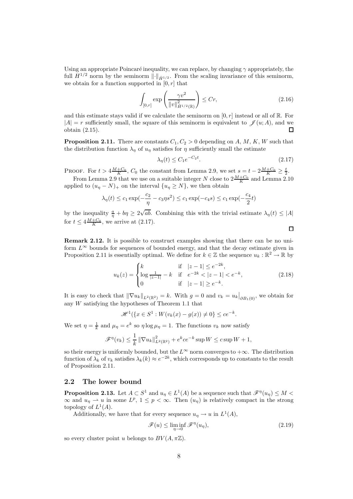Using an appropriate Poincaré inequality, we can replace, by changing  $\gamma$  appropriately, the full  $H^{1/2}$  norm by the seminorm  $\lVert \cdot \rVert_{\dot{H}^{1/2}}$ . From the scaling invariance of this seminorm, we obtain for a function supported in  $[0, r]$  that

$$
\int_{[0,r]} \exp\left(\frac{\gamma v^2}{\|v\|_{\dot{H}^{1/2}(\mathbb{R})}^2}\right) \le Cr,\tag{2.16}
$$

and this estimate stays valid if we calculate the seminorm on  $[0, r]$  instead or all of  $\mathbb{R}$ . For  $|A| = r$  sufficiently small, the square of this seminorm is equivalent to  $\mathscr{J}(u; A)$ , and we obtain (2.15). □

**Proposition 2.11.** There are constants  $C_1, C_2 > 0$  depending on A, M, K, W such that the distribution function  $\lambda_{\eta}$  of  $u_{\eta}$  satisfies for  $\eta$  sufficiently small the estimate

$$
\lambda_{\eta}(t) \le C_1 e^{-C_2 t}.\tag{2.17}
$$

**PROOF.** For  $t > 4\frac{M+C_0}{K}$ ,  $C_0$  the constant from Lemma 2.9, we set  $s = t - 2\frac{M+C_0}{K} \geq \frac{t}{2}$ .

From Lemma 2.9 that we use on a suitable integer N close to  $2\frac{M+C_0}{K}$  and Lemma 2.10 applied to  $(u_n - N)_+$  on the interval  $\{u_n \geq N\}$ , we then obtain

$$
\lambda_{\eta}(t) \le c_1 \exp(-\frac{c_2}{\eta} - c_3 \eta s^2) \le c_1 \exp(-c_4 s) \le c_1 \exp(-\frac{c_4}{2}t)
$$

by the inequality  $\frac{a}{\eta} + b\eta \geq 2$ *ab*. Combining this with the trivial estimate  $\lambda_{\eta}(t) \leq |A|$ for  $t \leq 4 \frac{M + C_0}{K}$ , we arrive at  $(2.17)$ .

**Remark 2.12.** It is possible to construct examples showing that there can be no uniform  $L^{\infty}$  bounds for sequences of bounded energy, and that the decay estimate given in Proposition 2.11 is essentially optimal. We define for  $k \in \mathbb{Z}$  the sequence  $u_k : \mathbb{R}^2 \to \mathbb{R}$  by

$$
u_k(z) = \begin{cases} k & \text{if } |z - 1| \le e^{-2k}, \\ \log \frac{1}{|z - 1|} - k & \text{if } e^{-2k} < |z - 1| < e^{-k}, \\ 0 & \text{if } |z - 1| \ge e^{-k}. \end{cases}
$$
(2.18)

It is easy to check that  $\|\nabla u_k\|_{L^2(\mathbb{R}^2)} = k$ . With  $g = 0$  and  $v_k = u_k|_{\partial B_1(0)}$ , we obtain for any W satisfying the hypotheses of Theorem 1.1 that

$$
\mathcal{H}^1(\{x \in S^1 : W(v_k(x) - g(x)) \neq 0\} \le ce^{-k}.
$$

We set  $\eta = \frac{1}{k}$  and  $\mu_{\eta} = e^k$  so  $\eta \log \mu_{\eta} = 1$ . The functions  $v_k$  now satisfy

$$
\mathscr{F}^{\eta}(v_k) \leq \frac{1}{k} \|\nabla u_k\|_{L^2(\mathbb{R}^2)}^2 + e^k c e^{-k} \sup W \leq c \sup W + 1,
$$

so their energy is uniformly bounded, but the  $L^{\infty}$  norm converges to  $+\infty$ . The distribution function of  $\lambda_k$  of  $v_k$  satisfies  $\lambda_k(k) \approx e^{-2k}$ , which corresponds up to constants to the result of Proposition 2.11.

#### **2.2 The lower bound**

**Proposition 2.13.** Let  $A \subset S^1$  and  $u_\eta \in L^1(A)$  be a sequence such that  $\mathscr{F}^{\eta}(u_\eta) \leq M$  $\infty$  and  $u_{\eta} \rightharpoonup u$  in some  $L^p$ ,  $1 \leq p < \infty$ . Then  $(u_{\eta})$  is relatively compact in the strong topology of  $L^1(A)$ .

Additionally, we have that for every sequence  $u_n \to u$  in  $L^1(A)$ ,

$$
\mathcal{F}(u) \le \liminf_{\eta \to 0} \mathcal{F}^{\eta}(u_{\eta}), \tag{2.19}
$$

so every cluster point u belongs to  $BV(A, \pi \mathbb{Z})$ .

 $\Box$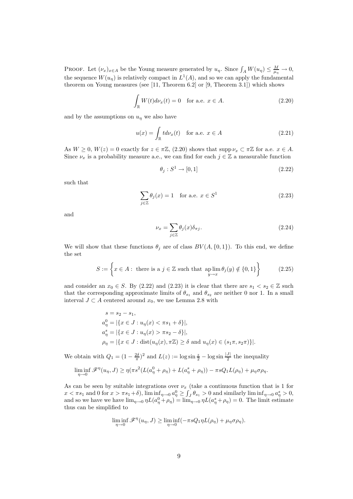**PROOF.** Let  $(\nu_x)_{x \in A}$  be the Young measure generated by  $u_\eta$ . Since  $\int_A W(u_\eta) \leq \frac{M}{\mu_\eta} \to 0$ , the sequence  $W(u_n)$  is relatively compact in  $L^1(A)$ , and so we can apply the fundamental theorem on Young measures (see [11, Theorem 6.2] or [9, Theorem 3.1]) which shows

$$
\int_{\mathbb{R}} W(t) d\nu_x(t) = 0 \quad \text{for a.e. } x \in A.
$$
\n(2.20)

and by the assumptions on  $u<sub>\eta</sub>$  we also have

$$
u(x) = \int_{\mathbb{R}} t d\nu_x(t) \quad \text{for a.e. } x \in A \tag{2.21}
$$

As  $W \geq 0$ ,  $W(z) = 0$  exactly for  $z \in \pi \mathbb{Z}$ , (2.20) shows that supp  $\nu_x \subset \pi \mathbb{Z}$  for a.e.  $x \in A$ . Since  $\nu_x$  is a probability measure a.e., we can find for each  $j \in \mathbb{Z}$  a measurable function

$$
\theta_j : S^1 \to [0, 1] \tag{2.22}
$$

such that

$$
\sum_{j\in\mathbb{Z}} \theta_j(x) = 1 \quad \text{for a.e. } x \in S^1 \tag{2.23}
$$

and

$$
\nu_x = \sum_{j \in \mathbb{Z}} \theta_j(x) \delta_{\pi j}.
$$
\n(2.24)

We will show that these functions  $\theta_j$  are of class  $BV(A, \{0, 1\})$ . To this end, we define the set

$$
S := \left\{ x \in A : \text{ there is a } j \in \mathbb{Z} \text{ such that } \underset{y \to x}{\text{ap lim}} \theta_j(y) \notin \{0, 1\} \right\} \tag{2.25}
$$

and consider an  $x_0 \in S$ . By (2.22) and (2.23) it is clear that there are  $s_1 < s_2 \in \mathbb{Z}$  such that the corresponding approximate limits of  $\theta_{s_1}$  and  $\theta_{s_2}$  are neither 0 nor 1. In a small interval  $J \subset A$  centered around  $x_0$ , we use Lemma 2.8 with

$$
s = s_2 - s_1,
$$
  
\n
$$
a_{\eta}^0 = |\{x \in J : u_{\eta}(x) < \pi s_1 + \delta\}|,
$$
  
\n
$$
a_{\eta}^s = |\{x \in J : u_{\eta}(x) > \pi s_2 - \delta\}|,
$$
  
\n
$$
\rho_{\eta} = |\{x \in J : \text{dist}(u_{\eta}(x), \pi \mathbb{Z}) \ge \delta \text{ and } u_{\eta}(x) \in (s_1 \pi, s_2 \pi)\}|.
$$

We obtain with  $Q_1 = (1 - \frac{2\delta}{\pi})^2$  and  $L(z) := \log \sin \frac{z}{2} - \log \sin \frac{1}{2}$  the inequality

$$
\liminf_{\eta \to 0} \mathscr{F}^{\eta}(u_{\eta}, J) \ge \eta(\pi s^2 (L(a_{\eta}^0 + \rho_{\eta}) + L(a_{\eta}^s + \rho_{\eta})) - \pi s Q_1 L(\rho_{\eta}) + \mu_{\eta} \sigma \rho_{\eta}.
$$

As can be seen by suitable integrations over  $\nu_x$  (take a continuous function that is 1 for  $x < \pi s_1$  and 0 for  $x > \pi s_1 + \delta$ ),  $\liminf_{\eta \to 0} a_{\eta}^0 \ge \int_J \theta_{s_1} > 0$  and similarly  $\liminf_{\eta \to 0} a_{\eta}^s > 0$ , and so we have we have  $\lim_{\eta \to 0} \eta L(a_{\eta}^0 + \rho_{\eta}) = \lim_{\eta \to 0} \eta L(a_{\eta}^s + \rho_{\eta}) = 0$ . The limit estimate thus can be simplified to

$$
\liminf_{\eta \to 0} \mathscr{F}^{\eta}(u_{\eta}, J) \ge \liminf_{\eta \to 0} (-\pi s Q_1 \eta L(\rho_{\eta}) + \mu_{\eta} \sigma \rho_{\eta}).
$$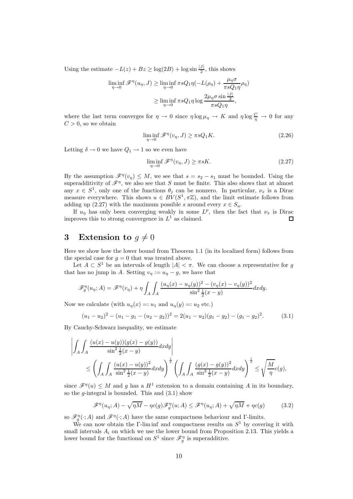Using the estimate  $-L(z) + Bz \ge \log(2B) + \log \sin \frac{|J|}{2}$ , this shows

$$
\liminf_{\eta \to 0} \mathcal{F}^{\eta}(u_{\eta}, J) \ge \liminf_{\eta \to 0} \pi s Q_1 \eta(-L(\rho_{\eta}) + \frac{\mu_{\eta} \sigma}{\pi s Q_1 \eta} \rho_{\eta})
$$

$$
\ge \liminf_{\eta \to 0} \pi s Q_1 \eta \log \frac{2\mu_{\eta} \sigma \sin \frac{|J|}{2}}{\pi s Q_1 \eta},
$$

where the last term converges for  $\eta \to 0$  since  $\eta \log \mu_{\eta} \to K$  and  $\eta \log \frac{C}{\eta} \to 0$  for any  $C > 0$ , so we obtain

$$
\liminf_{\eta \to 0} \mathcal{F}^{\eta}(v_{\eta}, J) \ge \pi s Q_1 K. \tag{2.26}
$$

Letting  $\delta \to 0$  we have  $Q_1 \to 1$  so we even have

$$
\liminf_{\eta \to 0} \mathcal{F}^{\eta}(v_{\eta}, J) \ge \pi s K. \tag{2.27}
$$

By the assumption  $\mathscr{F}^{\eta}(v_{\eta}) \leq M$ , we see that  $s = s_2 - s_1$  must be bounded. Using the superadditivity of  $\mathscr{F}^{\eta}$ , we also see that S must be finite. This also shows that at almost any  $x \in S^1$ , only one of the functions  $\theta_j$  can be nonzero. In particular,  $\nu_x$  is a Dirac measure everywhere. This shows  $u \in BV(S^1, \pi \mathbb{Z})$ , and the limit estimate follows from adding up (2.27) with the maximum possible s around every  $x \in S_u$ .

If  $u_n$  has only been converging weakly in some  $L^p$ , then the fact that  $\nu_x$  is Dirac improves this to strong convergence in  $L^1$  as claimed.  $\Box$ 

# **3** Extension to  $g \neq 0$

Here we show how the lower bound from Theorem 1.1 (in its localized form) follows from the special case for  $q = 0$  that was treated above.

Let  $A \subset S^1$  be an intervals of length  $|A| < \pi$ . We can choose a representative for g that has no jump in A. Setting  $v_{\eta} := u_{\eta} - g$ , we have that

$$
\mathscr{F}_g^{\eta}(u_{\eta};A) = \mathscr{F}^{\eta}(v_{\eta}) + \eta \int_A \int_A \frac{(u_{\eta}(x) - u_{\eta}(y))^2 - (v_{\eta}(x) - v_{\eta}(y))^2}{\sin^2 \frac{1}{2}(x - y)} dx dy.
$$

Now we calculate (with  $u_{\eta}(x) =: u_1$  and  $u_{\eta}(y) =: u_2$  etc.)

$$
(u_1 - u_2)^2 - (u_1 - g_1 - (u_2 - g_2))^2 = 2(u_1 - u_2)(g_1 - g_2) - (g_1 - g_2)^2.
$$
 (3.1)

By Cauchy-Schwarz inequality, we estimate

$$
\left| \int_A \int_A \frac{(u(x) - u(y))(g(x) - g(y))}{\sin^2 \frac{1}{2}(x - y)} dx dy \right|
$$
  
 
$$
\leq \left( \int_A \int_A \frac{(u(x) - u(y))^2}{\sin^2 \frac{1}{2}(x - y)} dx dy \right)^{\frac{1}{2}} \left( \int_A \int_A \frac{(g(x) - g(y))^2}{\sin^2 \frac{1}{2}(x - y)} dx dy \right)^{\frac{1}{2}} \leq \sqrt{\frac{M}{\eta}} c(g),
$$

since  $\mathscr{F}^{\eta}(u) \leq M$  and g has a  $H^1$  extension to a domain containing A in its boundary, so the *g*-integral is bounded. This and  $(3.1)$  show

$$
\mathcal{F}^{\eta}(u_{\eta};A) - \sqrt{\eta M} - \eta c(g)\mathcal{F}^{\eta}_{g}(u;A) \leq \mathcal{F}^{\eta}(u_{\eta};A) + \sqrt{\eta M} + \eta c(g) \tag{3.2}
$$

so  $\mathscr{F}_g^{\eta}(\cdot; A)$  and  $\mathscr{F}^{\eta}(\cdot; A)$  have the same compactness behaviour and Γ-limits.

We can now obtain the Γ-lim inf and compactness results on  $S^1$  by covering it with small intervals  $A_i$  on which we use the lower bound from Proposition 2.13. This yields a lower bound for the functional on  $S^1$  since  $\mathscr{F}_{g}^{\eta}$  is superadditive.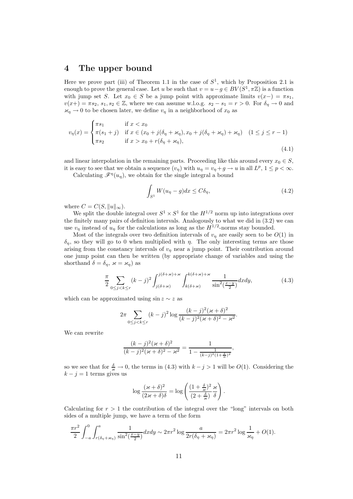### **4 The upper bound**

Here we prove part (iii) of Theorem 1.1 in the case of  $S<sup>1</sup>$ , which by Proposition 2.1 is enough to prove the general case. Let u be such that  $v = u - g \in BV(S^1, \pi \mathbb{Z})$  is a function with jump set S. Let  $x_0 \in S$  be a jump point with approximate limits  $v(x-) = \pi s_1$ ,  $v(x+) = \pi s_2$ ,  $s_1, s_2 \in \mathbb{Z}$ , where we can assume w.l.o.g.  $s_2 - s_1 = r > 0$ . For  $\delta_{\eta} \to 0$  and  $\varkappa_\eta \to 0$  to be chosen later, we define  $v_\eta$  in a neighborhood of  $x_0$  as

$$
v_{\eta}(x) = \begin{cases} \pi s_1 & \text{if } x < x_0 \\ \pi(s_1 + j) & \text{if } x \in (x_0 + j(\delta_{\eta} + \varkappa_{\eta}), x_0 + j(\delta_{\eta} + \varkappa_{\eta}) + \varkappa_{\eta}) \\ \pi s_2 & \text{if } x > x_0 + r(\delta_{\eta} + \varkappa_{\eta}), \end{cases} (1 \le j \le r - 1)
$$
\n(4.1)

and linear interpolation in the remaining parts. Proceeding like this around every  $x_0 \in S$ , it is easy to see that we obtain a sequence  $(v_n)$  with  $u_n = v_n + g \to u$  in all  $L^p$ ,  $1 \leq p < \infty$ .

Calculating  $\mathscr{F}^{\eta}(u_{\eta})$ , we obtain for the single integral a bound

$$
\int_{S^1} W(u_\eta - g) dx \le C \delta_\eta,
$$
\n(4.2)

where  $C = C(S, ||u||_{\infty}).$ 

We split the double integral over  $S^1 \times S^1$  for the  $H^{1/2}$  norm up into integrations over the finitely many pairs of definition intervals. Analogously to what we did in (3.2) we can use  $v_{\eta}$  instead of  $u_{\eta}$  for the calculations as long as the  $H^{1/2}$ -norms stay bounded.

Most of the integrals over two definition intervals of  $v<sub>\eta</sub>$  are easily seen to be  $O(1)$  in  $\delta_{\eta}$ , so they will go to 0 when multiplied with  $\eta$ . The only interesting terms are those arising from the constancy intervals of  $v<sub>\eta</sub>$  near a jump point. Their contribution around one jump point can then be written (by appropriate change of variables and using the shorthand  $\delta = \delta_n$ ,  $\varkappa = \varkappa_n$ ) as

$$
\frac{\pi}{2} \sum_{0 \le j < k \le r} (k-j)^2 \int_{j(\delta + \varkappa)}^{j(\delta + \varkappa) + \varkappa} \int_{k(\delta + \varkappa)}^{k(\delta + \varkappa) + \varkappa} \frac{1}{\sin^2(\frac{x-y}{2})} dx dy,\tag{4.3}
$$

which can be approximated using sin  $z \sim z$  as

$$
2\pi \sum_{0 \le j < k \le r} (k-j)^2 \log \frac{(k-j)^2(\varkappa + \delta)^2}{(k-j)^2(\varkappa + \delta)^2 - \varkappa^2}.
$$

We can rewrite

$$
\frac{(k-j)^2(\varkappa + \delta)^2}{(k-j)^2(\varkappa + \delta)^2 - \varkappa^2} = \frac{1}{1 - \frac{1}{(k-j)^2(1 + \frac{\delta}{\varkappa})^2}},
$$

so we see that for  $\frac{\delta}{\varkappa} \to 0$ , the terms in (4.3) with  $k - j > 1$  will be  $O(1)$ . Considering the  $k - j = 1$  terms gives us

$$
\log\frac{(\varkappa+\delta)^2}{(2\varkappa+\delta)\delta}=\log\left(\frac{(1+\frac{\delta}{\varkappa})^2}{(2+\frac{\delta}{\varkappa})}\frac{\varkappa}{\delta}\right).
$$

Calculating for  $r > 1$  the contribution of the integral over the "long" intervals on both sides of a multiple jump, we have a term of the form

$$
\frac{\pi r^2}{2} \int_{-a}^0 \int_{r(\delta_\eta + \varkappa_\eta)}^a \frac{1}{\sin^2(\frac{x-y}{2})} dx dy \sim 2\pi r^2 \log \frac{a}{2r(\delta_\eta + \varkappa_\eta)} = 2\pi r^2 \log \frac{1}{\varkappa_\eta} + O(1).
$$